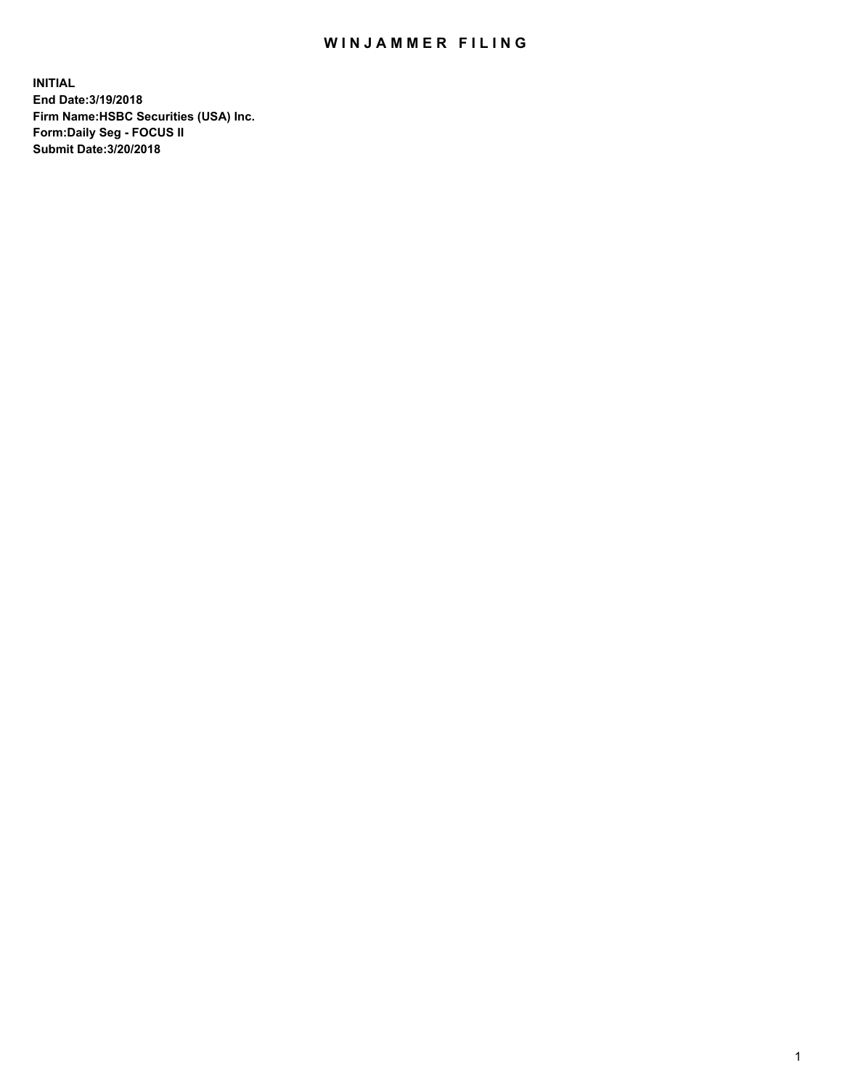## WIN JAMMER FILING

**INITIAL End Date:3/19/2018 Firm Name:HSBC Securities (USA) Inc. Form:Daily Seg - FOCUS II Submit Date:3/20/2018**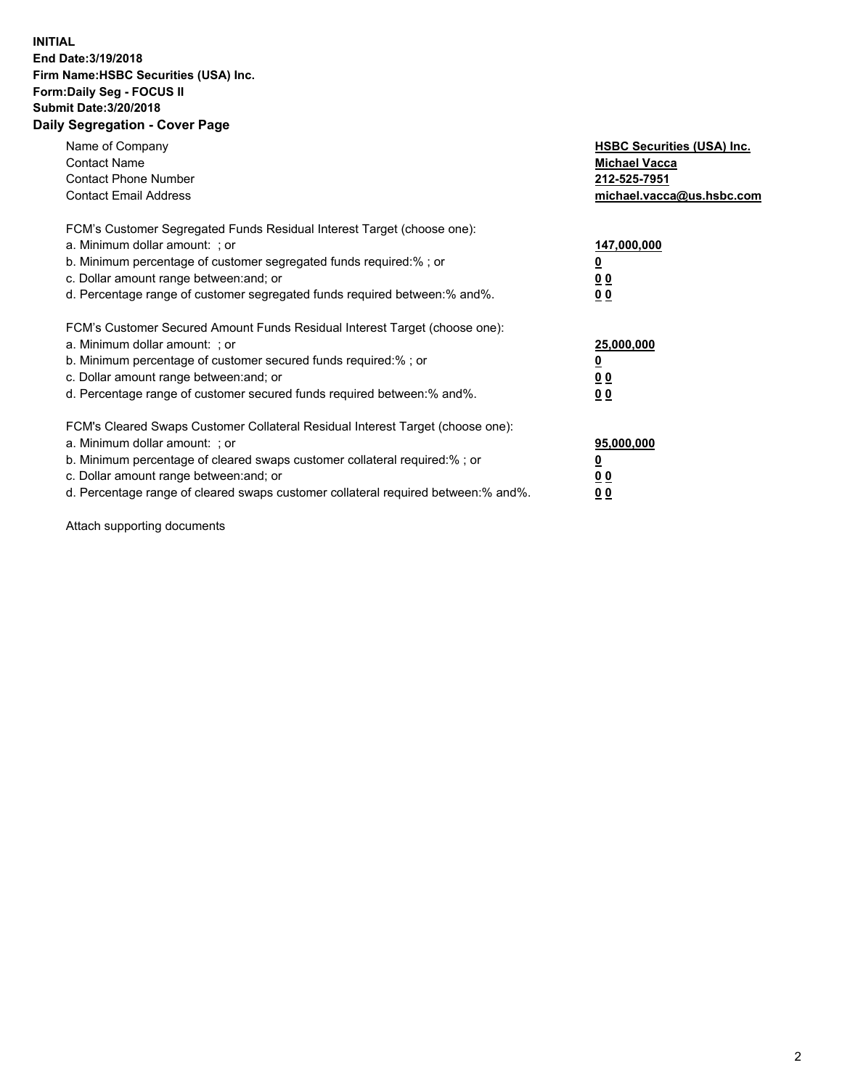## **INITIAL End Date:3/19/2018 Firm Name:HSBC Securities (USA) Inc. Form:Daily Seg - FOCUS II Submit Date:3/20/2018 Daily Segregation - Cover Page**

| Name of Company<br><b>Contact Name</b><br><b>Contact Phone Number</b><br><b>Contact Email Address</b>                                                                                                                                                                                                                         | <b>HSBC Securities (USA) Inc.</b><br><b>Michael Vacca</b><br>212-525-7951<br>michael.vacca@us.hsbc.com |
|-------------------------------------------------------------------------------------------------------------------------------------------------------------------------------------------------------------------------------------------------------------------------------------------------------------------------------|--------------------------------------------------------------------------------------------------------|
| FCM's Customer Segregated Funds Residual Interest Target (choose one):<br>a. Minimum dollar amount: ; or<br>b. Minimum percentage of customer segregated funds required:%; or<br>c. Dollar amount range between: and; or<br>d. Percentage range of customer segregated funds required between: % and %.                       | 147,000,000<br><u>0</u><br><u>00</u><br>00                                                             |
| FCM's Customer Secured Amount Funds Residual Interest Target (choose one):<br>a. Minimum dollar amount: ; or<br>b. Minimum percentage of customer secured funds required:%; or<br>c. Dollar amount range between: and; or<br>d. Percentage range of customer secured funds required between: % and %.                         | 25,000,000<br><u>0</u><br><u>00</u><br>00                                                              |
| FCM's Cleared Swaps Customer Collateral Residual Interest Target (choose one):<br>a. Minimum dollar amount: ; or<br>b. Minimum percentage of cleared swaps customer collateral required:%; or<br>c. Dollar amount range between: and; or<br>d. Percentage range of cleared swaps customer collateral required between:% and%. | 95,000,000<br><u>0</u><br><u>00</u><br><u>00</u>                                                       |

Attach supporting documents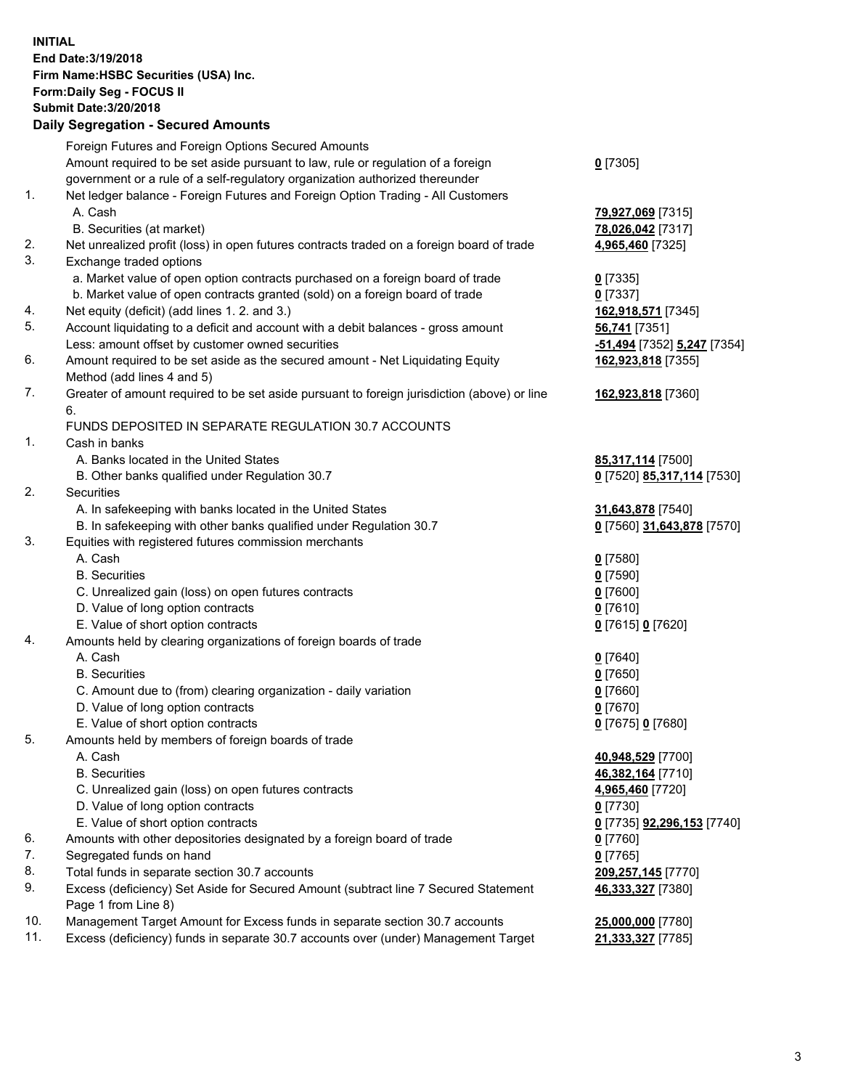**INITIAL End Date:3/19/2018 Firm Name:HSBC Securities (USA) Inc. Form:Daily Seg - FOCUS II Submit Date:3/20/2018 Daily Segregation - Secured Amounts**

Foreign Futures and Foreign Options Secured Amounts Amount required to be set aside pursuant to law, rule or regulation of a foreign government or a rule of a self-regulatory organization authorized thereunder **0** [7305] 1. Net ledger balance - Foreign Futures and Foreign Option Trading - All Customers A. Cash **79,927,069** [7315] B. Securities (at market) **78,026,042** [7317] 2. Net unrealized profit (loss) in open futures contracts traded on a foreign board of trade **4,965,460** [7325] 3. Exchange traded options a. Market value of open option contracts purchased on a foreign board of trade **0** [7335] b. Market value of open contracts granted (sold) on a foreign board of trade **0** [7337] 4. Net equity (deficit) (add lines 1. 2. and 3.) **162,918,571** [7345] 5. Account liquidating to a deficit and account with a debit balances - gross amount **56,741** [7351] Less: amount offset by customer owned securities **-51,494** [7352] **5,247** [7354] 6. Amount required to be set aside as the secured amount - Net Liquidating Equity Method (add lines 4 and 5) **162,923,818** [7355] 7. Greater of amount required to be set aside pursuant to foreign jurisdiction (above) or line 6. **162,923,818** [7360] FUNDS DEPOSITED IN SEPARATE REGULATION 30.7 ACCOUNTS 1. Cash in banks A. Banks located in the United States **85,317,114** [7500] B. Other banks qualified under Regulation 30.7 **0** [7520] **85,317,114** [7530] 2. Securities A. In safekeeping with banks located in the United States **31,643,878** [7540] B. In safekeeping with other banks qualified under Regulation 30.7 **0** [7560] **31,643,878** [7570] 3. Equities with registered futures commission merchants A. Cash **0** [7580] B. Securities **0** [7590] C. Unrealized gain (loss) on open futures contracts **0** [7600] D. Value of long option contracts **0** [7610] E. Value of short option contracts **0** [7615] **0** [7620] 4. Amounts held by clearing organizations of foreign boards of trade A. Cash **0** [7640] B. Securities **0** [7650] C. Amount due to (from) clearing organization - daily variation **0** [7660] D. Value of long option contracts **0** [7670] E. Value of short option contracts **0** [7675] **0** [7680] 5. Amounts held by members of foreign boards of trade A. Cash **40,948,529** [7700] B. Securities **46,382,164** [7710] C. Unrealized gain (loss) on open futures contracts **4,965,460** [7720] D. Value of long option contracts **0** [7730] E. Value of short option contracts **0** [7735] **92,296,153** [7740] 6. Amounts with other depositories designated by a foreign board of trade **0** [7760] 7. Segregated funds on hand **0** [7765] 8. Total funds in separate section 30.7 accounts **209,257,145** [7770] 9. Excess (deficiency) Set Aside for Secured Amount (subtract line 7 Secured Statement Page 1 from Line 8) **46,333,327** [7380] 10. Management Target Amount for Excess funds in separate section 30.7 accounts **25,000,000** [7780] 11. Excess (deficiency) funds in separate 30.7 accounts over (under) Management Target **21,333,327** [7785]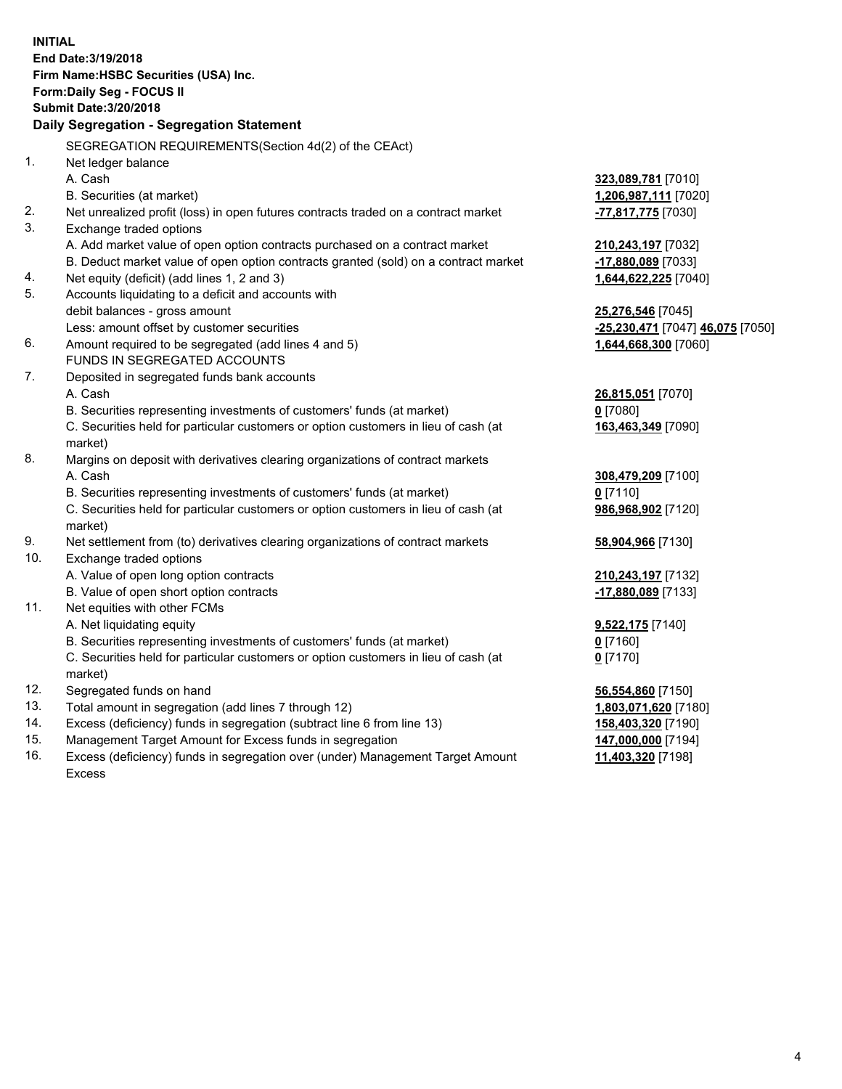**INITIAL End Date:3/19/2018 Firm Name:HSBC Securities (USA) Inc. Form:Daily Seg - FOCUS II Submit Date:3/20/2018 Daily Segregation - Segregation Statement** SEGREGATION REQUIREMENTS(Section 4d(2) of the CEAct) 1. Net ledger balance A. Cash **323,089,781** [7010] B. Securities (at market) **1,206,987,111** [7020] 2. Net unrealized profit (loss) in open futures contracts traded on a contract market **-77,817,775** [7030] 3. Exchange traded options A. Add market value of open option contracts purchased on a contract market **210,243,197** [7032] B. Deduct market value of open option contracts granted (sold) on a contract market **-17,880,089** [7033] 4. Net equity (deficit) (add lines 1, 2 and 3) **1,644,622,225** [7040] 5. Accounts liquidating to a deficit and accounts with debit balances - gross amount **25,276,546** [7045] Less: amount offset by customer securities **-25,230,471** [7047] **46,075** [7050] 6. Amount required to be segregated (add lines 4 and 5) **1,644,668,300** [7060] FUNDS IN SEGREGATED ACCOUNTS 7. Deposited in segregated funds bank accounts A. Cash **26,815,051** [7070] B. Securities representing investments of customers' funds (at market) **0** [7080] C. Securities held for particular customers or option customers in lieu of cash (at market) **163,463,349** [7090] 8. Margins on deposit with derivatives clearing organizations of contract markets A. Cash **308,479,209** [7100] B. Securities representing investments of customers' funds (at market) **0** [7110] C. Securities held for particular customers or option customers in lieu of cash (at market) **986,968,902** [7120] 9. Net settlement from (to) derivatives clearing organizations of contract markets **58,904,966** [7130] 10. Exchange traded options A. Value of open long option contracts **210,243,197** [7132] B. Value of open short option contracts **-17,880,089** [7133] 11. Net equities with other FCMs A. Net liquidating equity **9,522,175** [7140] B. Securities representing investments of customers' funds (at market) **0** [7160] C. Securities held for particular customers or option customers in lieu of cash (at market) **0** [7170] 12. Segregated funds on hand **56,554,860** [7150] 13. Total amount in segregation (add lines 7 through 12) **1,803,071,620** [7180] 14. Excess (deficiency) funds in segregation (subtract line 6 from line 13) **158,403,320** [7190] 15. Management Target Amount for Excess funds in segregation **147,000,000** [7194]

16. Excess (deficiency) funds in segregation over (under) Management Target Amount Excess

**11,403,320** [7198]